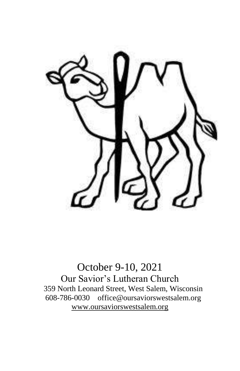

October 9-10, 2021 Our Savior's Lutheran Church 359 North Leonard Street, West Salem, Wisconsin 608-786-0030 office@oursaviorswestsalem.org [www.oursaviorswestsalem.org](http://www.oursaviorswestsalem.org/)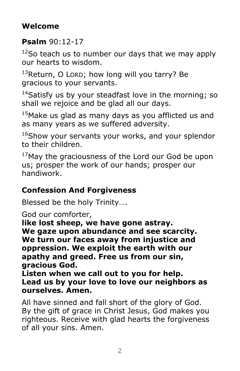## **Welcome**

### **Psalm** 90:12-17

 $12$ So teach us to number our days that we may apply our hearts to wisdom.

 $13$ Return, O LORD; how long will you tarry? Be gracious to your servants.

 $14$ Satisfy us by your steadfast love in the morning; so shall we rejoice and be glad all our days.

 $15$ Make us glad as many days as you afflicted us and as many years as we suffered adversity.

<sup>16</sup>Show your servants your works, and your splendor to their children.

<sup>17</sup>May the graciousness of the Lord our God be upon us; prosper the work of our hands; prosper our handiwork.

### **Confession And Forgiveness**

Blessed be the holy Trinity….

God our comforter,

**like lost sheep, we have gone astray. We gaze upon abundance and see scarcity. We turn our faces away from injustice and oppression. We exploit the earth with our apathy and greed. Free us from our sin, gracious God.**

**Listen when we call out to you for help. Lead us by your love to love our neighbors as ourselves. Amen.**

All have sinned and fall short of the glory of God. By the gift of grace in Christ Jesus, God makes you righteous. Receive with glad hearts the forgiveness of all your sins. Amen.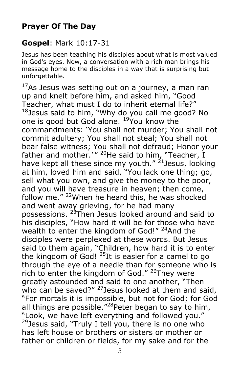### **Prayer Of The Day**

### **Gospel**: Mark 10:17-31

Jesus has been teaching his disciples about what is most valued in God's eyes. Now, a conversation with a rich man brings his message home to the disciples in a way that is surprising but unforgettable.

 $17$ As Jesus was setting out on a journey, a man ran up and knelt before him, and asked him, "Good Teacher, what must I do to inherit eternal life?"  $18$  Jesus said to him, "Why do you call me good? No one is good but God alone. <sup>19</sup>You know the commandments: 'You shall not murder; You shall not commit adultery; You shall not steal; You shall not bear false witness; You shall not defraud; Honor your father and mother.'"  $^{20}$ He said to him, "Teacher, I have kept all these since my youth."  $21$  Jesus, looking at him, loved him and said, "You lack one thing; go, sell what you own, and give the money to the poor, and you will have treasure in heaven; then come, follow me." <sup>22</sup>When he heard this, he was shocked and went away grieving, for he had many possessions. <sup>23</sup>Then Jesus looked around and said to his disciples, "How hard it will be for those who have wealth to enter the kingdom of God!" <sup>24</sup>And the disciples were perplexed at these words. But Jesus said to them again, "Children, how hard it is to enter the kingdom of God!  $^{25}$ It is easier for a camel to go through the eye of a needle than for someone who is rich to enter the kingdom of God." <sup>26</sup>They were greatly astounded and said to one another, "Then who can be saved?"  $27$  Jesus looked at them and said, "For mortals it is impossible, but not for God; for God all things are possible."<sup>28</sup> Peter began to say to him, "Look, we have left everything and followed you."  $29$  Jesus said, "Truly I tell you, there is no one who has left house or brothers or sisters or mother or father or children or fields, for my sake and for the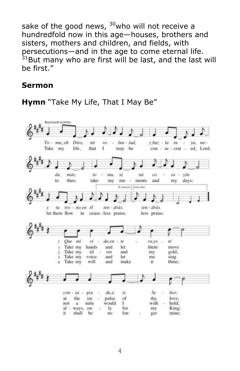sake of the good news,  $30$ who will not receive a hundredfold now in this age—houses, brothers and sisters, mothers and children, and fields, with persecutions—and in the age to come eternal life.  $31$ But many who are first will be last, and the last will be first."

#### **Sermon**



**Hymn** "Take My Life, That I May Be"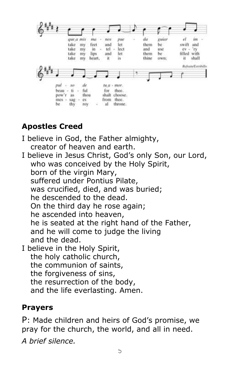

# **Apostles Creed**

I believe in God, the Father almighty, creator of heaven and earth. I believe in Jesus Christ, God's only Son, our Lord, who was conceived by the Holy Spirit, born of the virgin Mary, suffered under Pontius Pilate, was crucified, died, and was buried; he descended to the dead. On the third day he rose again; he ascended into heaven, he is seated at the right hand of the Father, and he will come to judge the living and the dead. I believe in the Holy Spirit, the holy catholic church, the communion of saints, the forgiveness of sins, the resurrection of the body, and the life everlasting. Amen.

# **Prayers**

P: Made children and heirs of God's promise, we pray for the church, the world, and all in need.

*A brief silence.*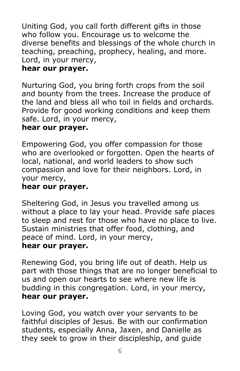Uniting God, you call forth different gifts in those who follow you. Encourage us to welcome the diverse benefits and blessings of the whole church in teaching, preaching, prophecy, healing, and more. Lord, in your mercy,

#### **hear our prayer.**

Nurturing God, you bring forth crops from the soil and bounty from the trees. Increase the produce of the land and bless all who toil in fields and orchards. Provide for good working conditions and keep them safe. Lord, in your mercy,

#### **hear our prayer.**

Empowering God, you offer compassion for those who are overlooked or forgotten. Open the hearts of local, national, and world leaders to show such compassion and love for their neighbors. Lord, in your mercy,

#### **hear our prayer.**

Sheltering God, in Jesus you travelled among us without a place to lay your head. Provide safe places to sleep and rest for those who have no place to live. Sustain ministries that offer food, clothing, and peace of mind. Lord, in your mercy,

#### **hear our prayer.**

Renewing God, you bring life out of death. Help us part with those things that are no longer beneficial to us and open our hearts to see where new life is budding in this congregation. Lord, in your mercy, **hear our prayer.**

Loving God, you watch over your servants to be faithful disciples of Jesus. Be with our confirmation students, especially Anna, Jaxen, and Danielle as they seek to grow in their discipleship, and guide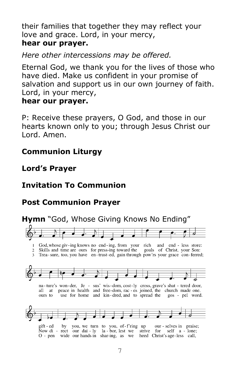their families that together they may reflect your love and grace. Lord, in your mercy, **hear our prayer.**

*Here other intercessions may be offered.*

Eternal God, we thank you for the lives of those who have died. Make us confident in your promise of salvation and support us in our own journey of faith. Lord, in your mercy,

#### **hear our prayer.**

P: Receive these prayers, O God, and those in our hearts known only to you; through Jesus Christ our Lord. Amen.

### **Communion Liturgy**

# **Lord's Prayer**

# **Invitation To Communion**

# **Post Communion Prayer**

# **Hymn** "God, Whose Giving Knows No Ending"